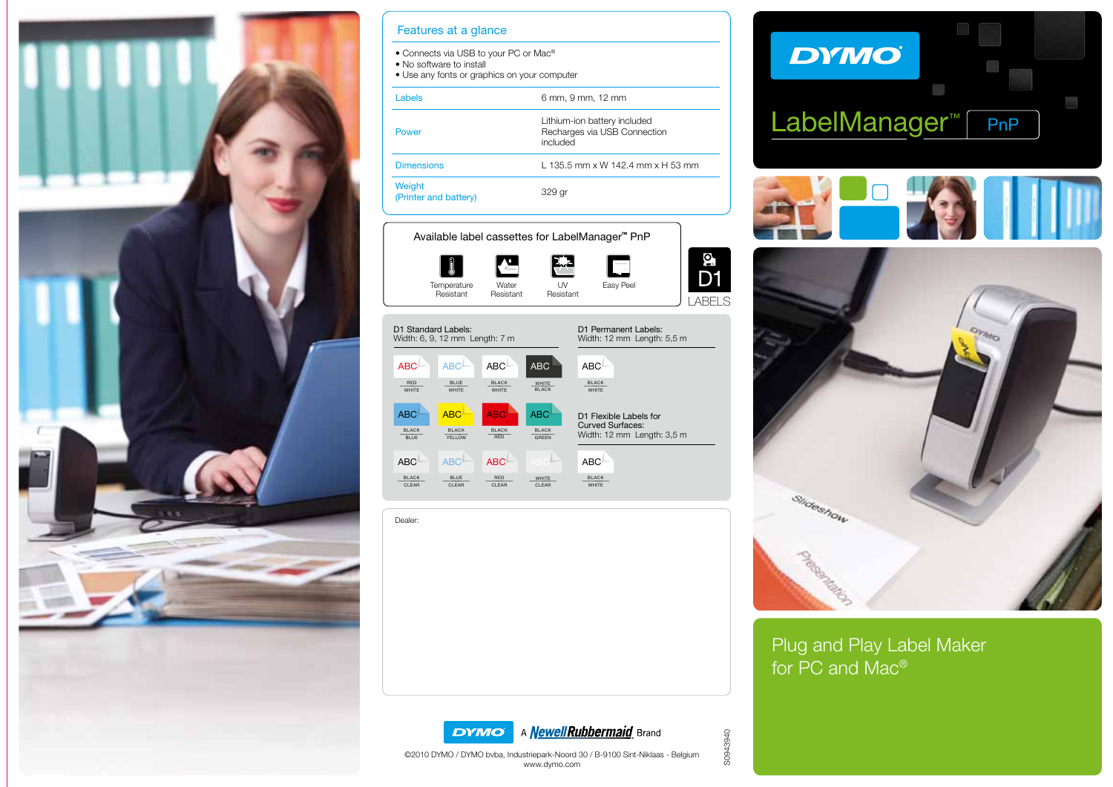

| Features at a glance                                                                                                          |                                                                          |
|-------------------------------------------------------------------------------------------------------------------------------|--------------------------------------------------------------------------|
| • Connects via USB to your PC or Mac <sup>®</sup><br>• No software to install<br>• Use any fonts or graphics on your computer |                                                                          |
| Labels                                                                                                                        | 6 mm, 9 mm, 12 mm                                                        |
| Power                                                                                                                         | Lithium-ion battery included<br>Recharges via USB Connection<br>included |
| <b>Dimensions</b>                                                                                                             | $1.1355$ mm x W 142 4 mm x H 53 mm                                       |
| Weight<br>(Printer and battery)                                                                                               | 329 gr                                                                   |

#### Available label cassettes for LabelManager**™** PnP





Dealer:







Plug and Play Label Maker for PC and Mac®





LABELS

g<br>D1

S0943940 S0943940